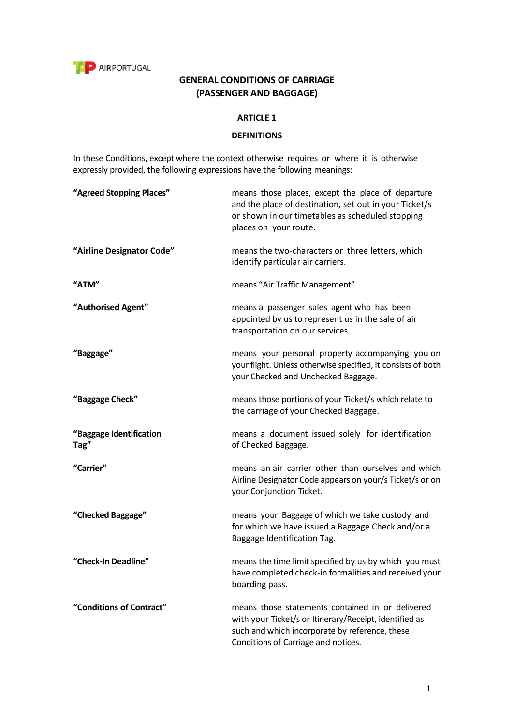

# **GENERAL CONDITIONS OF CARRIAGE (PASSENGER AND BAGGAGE)**

#### **ARTICLE 1**

#### **DEFINITIONS**

In these Conditions, except where the context otherwise requires or where it is otherwise expressly provided, the following expressions have the following meanings:

| "Agreed Stopping Places"        | means those places, except the place of departure<br>and the place of destination, set out in your Ticket/s<br>or shown in our timetables as scheduled stopping<br>places on your route.            |
|---------------------------------|-----------------------------------------------------------------------------------------------------------------------------------------------------------------------------------------------------|
| "Airline Designator Code"       | means the two-characters or three letters, which<br>identify particular air carriers.                                                                                                               |
| "ATM"                           | means "Air Traffic Management".                                                                                                                                                                     |
| "Authorised Agent"              | means a passenger sales agent who has been<br>appointed by us to represent us in the sale of air<br>transportation on our services.                                                                 |
| "Baggage"                       | means your personal property accompanying you on<br>your flight. Unless otherwise specified, it consists of both<br>your Checked and Unchecked Baggage.                                             |
| "Baggage Check"                 | means those portions of your Ticket/s which relate to<br>the carriage of your Checked Baggage.                                                                                                      |
| "Baggage Identification<br>Tag" | means a document issued solely for identification<br>of Checked Baggage.                                                                                                                            |
| "Carrier"                       | means an air carrier other than ourselves and which<br>Airline Designator Code appears on your/s Ticket/s or on<br>your Conjunction Ticket.                                                         |
| "Checked Baggage"               | means your Baggage of which we take custody and<br>for which we have issued a Baggage Check and/or a<br>Baggage Identification Tag.                                                                 |
| "Check-In Deadline"             | means the time limit specified by us by which you must<br>have completed check-in formalities and received your<br>boarding pass.                                                                   |
| "Conditions of Contract"        | means those statements contained in or delivered<br>with your Ticket/s or Itinerary/Receipt, identified as<br>such and which incorporate by reference, these<br>Conditions of Carriage and notices. |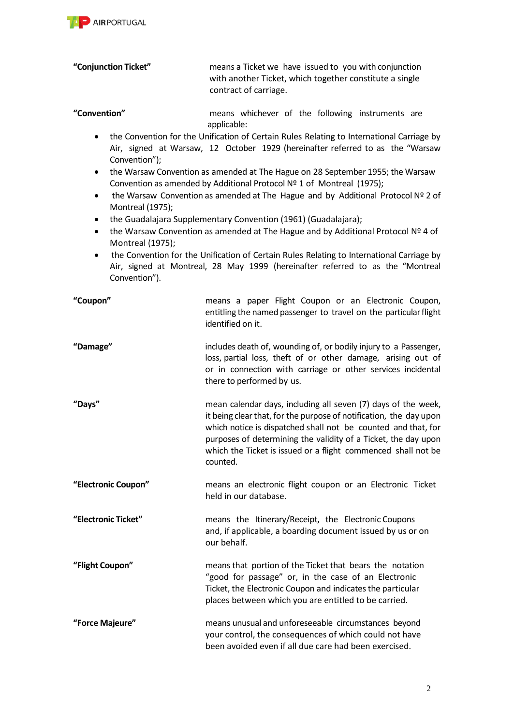

# **"Conjunction Ticket"** means a Ticket we have issued to you with conjunction with another Ticket, which together constitute a single contract of carriage.

#### **"Convention"** means whichever of the following instruments are applicable:

- the Convention for the Unification of Certain Rules Relating to International Carriage by Air, signed at Warsaw, 12 October 1929 (hereinafter referred to as the "Warsaw Convention");
- the Warsaw Convention as amended at The Hague on 28 September 1955; the Warsaw Convention as amended by Additional Protocol Nº 1 of Montreal (1975);
- the Warsaw Convention as amended at The Hague and by Additional Protocol Nº 2 of Montreal (1975);
- the Guadalajara Supplementary Convention (1961) (Guadalajara);
- the Warsaw Convention as amended at The Hague and by Additional Protocol Nº 4 of Montreal (1975);
- the Convention for the Unification of Certain Rules Relating to International Carriage by Air, signed at Montreal, 28 May 1999 (hereinafter referred to as the "Montreal Convention").

| "Coupon"            | means a paper Flight Coupon or an Electronic Coupon,<br>entitling the named passenger to travel on the particular flight<br>identified on it.                                                                                                                                                                                                       |
|---------------------|-----------------------------------------------------------------------------------------------------------------------------------------------------------------------------------------------------------------------------------------------------------------------------------------------------------------------------------------------------|
| "Damage"            | includes death of, wounding of, or bodily injury to a Passenger,<br>loss, partial loss, theft of or other damage, arising out of<br>or in connection with carriage or other services incidental<br>there to performed by us.                                                                                                                        |
| "Days"              | mean calendar days, including all seven (7) days of the week,<br>it being clear that, for the purpose of notification, the day upon<br>which notice is dispatched shall not be counted and that, for<br>purposes of determining the validity of a Ticket, the day upon<br>which the Ticket is issued or a flight commenced shall not be<br>counted. |
| "Electronic Coupon" | means an electronic flight coupon or an Electronic Ticket<br>held in our database.                                                                                                                                                                                                                                                                  |
| "Electronic Ticket" | means the Itinerary/Receipt, the Electronic Coupons<br>and, if applicable, a boarding document issued by us or on<br>our behalf.                                                                                                                                                                                                                    |
| "Flight Coupon"     | means that portion of the Ticket that bears the notation<br>"good for passage" or, in the case of an Electronic<br>Ticket, the Electronic Coupon and indicates the particular<br>places between which you are entitled to be carried.                                                                                                               |
| "Force Majeure"     | means unusual and unforeseeable circumstances beyond<br>your control, the consequences of which could not have<br>been avoided even if all due care had been exercised.                                                                                                                                                                             |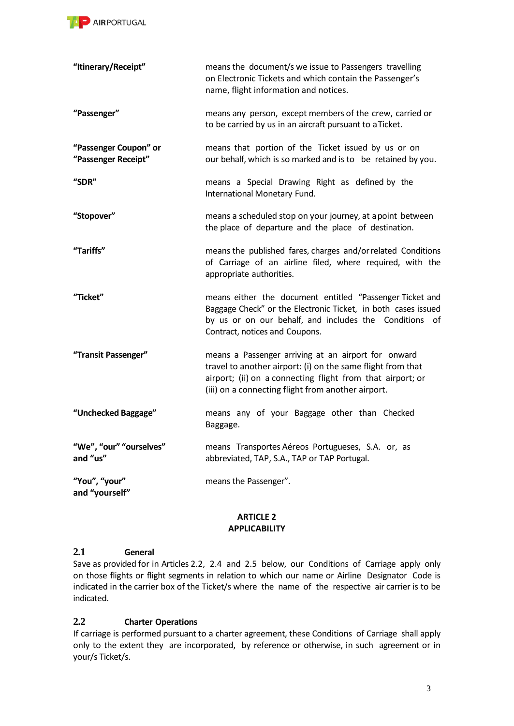

| "Itinerary/Receipt"                          | means the document/s we issue to Passengers travelling<br>on Electronic Tickets and which contain the Passenger's<br>name, flight information and notices.                                                                             |  |
|----------------------------------------------|----------------------------------------------------------------------------------------------------------------------------------------------------------------------------------------------------------------------------------------|--|
| "Passenger"                                  | means any person, except members of the crew, carried or<br>to be carried by us in an aircraft pursuant to a Ticket.                                                                                                                   |  |
| "Passenger Coupon" or<br>"Passenger Receipt" | means that portion of the Ticket issued by us or on<br>our behalf, which is so marked and is to be retained by you.                                                                                                                    |  |
| "SDR"                                        | means a Special Drawing Right as defined by the<br>International Monetary Fund.                                                                                                                                                        |  |
| "Stopover"                                   | means a scheduled stop on your journey, at a point between<br>the place of departure and the place of destination.                                                                                                                     |  |
| "Tariffs"                                    | means the published fares, charges and/or related Conditions<br>of Carriage of an airline filed, where required, with the<br>appropriate authorities.                                                                                  |  |
| "Ticket"                                     | means either the document entitled "Passenger Ticket and<br>Baggage Check" or the Electronic Ticket, in both cases issued<br>by us or on our behalf, and includes the Conditions of<br>Contract, notices and Coupons.                  |  |
| "Transit Passenger"                          | means a Passenger arriving at an airport for onward<br>travel to another airport: (i) on the same flight from that<br>airport; (ii) on a connecting flight from that airport; or<br>(iii) on a connecting flight from another airport. |  |
| "Unchecked Baggage"                          | means any of your Baggage other than Checked<br>Baggage.                                                                                                                                                                               |  |
| "We", "our" "ourselves"<br>and "us"          | means Transportes Aéreos Portugueses, S.A. or, as<br>abbreviated, TAP, S.A., TAP or TAP Portugal.                                                                                                                                      |  |
| "You", "your"<br>and "yourself"              | means the Passenger".                                                                                                                                                                                                                  |  |

#### **ARTICLE 2 APPLICABILITY**

## **2.1 General**

Save as provided for in Articles 2.2, 2.4 and 2.5 below, our Conditions of Carriage apply only on those flights or flight segments in relation to which our name or Airline Designator Code is indicated in the carrier box of the Ticket/s where the name of the respective air carrier is to be indicated.

# **2.2 Charter Operations**

If carriage is performed pursuant to a charter agreement, these Conditions of Carriage shall apply only to the extent they are incorporated, by reference or otherwise, in such agreement or in your/s Ticket/s.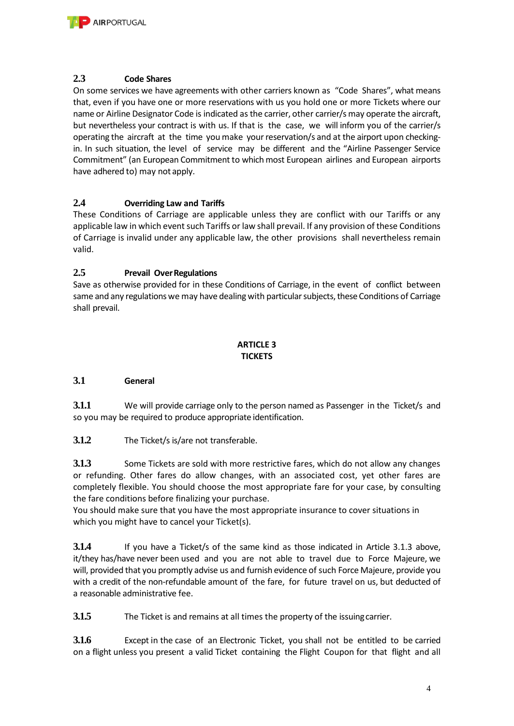

#### **2.3 Code Shares**

On some services we have agreements with other carriers known as "Code Shares", what means that, even if you have one or more reservations with us you hold one or more Tickets where our name or Airline Designator Code is indicated as the carrier, other carrier/s may operate the aircraft, but nevertheless your contract is with us. If that is the case, we will inform you of the carrier/s operating the aircraft at the time you make your reservation/s and at the airport upon checkingin. In such situation, the level of service may be different and the "Airline Passenger Service Commitment" (an European Commitment to which most European airlines and European airports have adhered to) may not apply.

## **2.4 Overriding Law and Tariffs**

These Conditions of Carriage are applicable unless they are conflict with our Tariffs or any applicable law in which event such Tariffs or law shall prevail. If any provision of these Conditions of Carriage is invalid under any applicable law, the other provisions shall nevertheless remain valid.

## **2.5 Prevail OverRegulations**

Save as otherwise provided for in these Conditions of Carriage, in the event of conflict between same and any regulations we may have dealing with particular subjects, these Conditions of Carriage shall prevail.

## **ARTICLE 3 TICKETS**

## **3.1 General**

**3.1.1** We will provide carriage only to the person named as Passenger in the Ticket/s and so you may be required to produce appropriate identification.

**3.1.2** The Ticket/s is/are not transferable.

**3.1.3** Some Tickets are sold with more restrictive fares, which do not allow any changes or refunding. Other fares do allow changes, with an associated cost, yet other fares are completely flexible. You should choose the most appropriate fare for your case, by consulting the fare conditions before finalizing your purchase.

You should make sure that you have the most appropriate insurance to cover situations in which you might have to cancel your Ticket(s).

**3.1.4** If you have a Ticket/s of the same kind as those indicated in Article 3.1.3 above, it/they has/have never been used and you are not able to travel due to Force Majeure, we will, provided that you promptly advise us and furnish evidence of such Force Majeure, provide you with a credit of the non-refundable amount of the fare, for future travel on us, but deducted of a reasonable administrative fee.

**3.1.5** The Ticket is and remains at all times the property of the issuingcarrier.

**3.1.6** Except in the case of an Electronic Ticket, you shall not be entitled to be carried on a flight unless you present a valid Ticket containing the Flight Coupon for that flight and all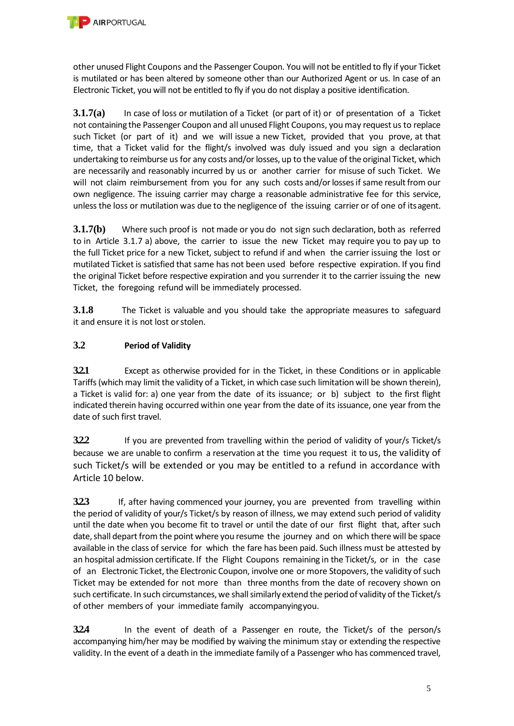other unused Flight Coupons and the Passenger Coupon. You will not be entitled to fly if your Ticket is mutilated or has been altered by someone other than our Authorized Agent or us. In case of an Electronic Ticket, you will not be entitled to fly if you do not display a positive identification.

**3.1.7(a)** In case of loss or mutilation of a Ticket (or part of it) or of presentation of a Ticket not containing the Passenger Coupon and all unused Flight Coupons, you may request us to replace such Ticket (or part of it) and we will issue a new Ticket, provided that you prove, at that time, that a Ticket valid for the flight/s involved was duly issued and you sign a declaration undertaking to reimburse us for any costs and/or losses, up to the value of the original Ticket, which are necessarily and reasonably incurred by us or another carrier for misuse of such Ticket. We will not claim reimbursement from you for any such costs and/or losses if same result from our own negligence. The issuing carrier may charge a reasonable administrative fee for this service, unless the loss or mutilation was due to the negligence of the issuing carrier or of one of itsagent.

**3.1.7(b)** Where such proof is not made or you do not sign such declaration, both as referred to in Article 3.1.7 a) above, the carrier to issue the new Ticket may require you to pay up to the full Ticket price for a new Ticket, subject to refund if and when the carrier issuing the lost or mutilated Ticket is satisfied that same has not been used before respective expiration. If you find the original Ticket before respective expiration and you surrender it to the carrier issuing the new Ticket, the foregoing refund will be immediately processed.

**3.1.8** The Ticket is valuable and you should take the appropriate measures to safeguard it and ensure it is not lost or stolen.

# **3.2 Period of Validity**

**3.2.1** Except as otherwise provided for in the Ticket, in these Conditions or in applicable Tariffs (which may limit the validity of a Ticket, in which case such limitation will be shown therein), a Ticket is valid for: a) one year from the date of its issuance; or b) subject to the first flight indicated therein having occurred within one year from the date of its issuance, one year from the date of such first travel.

**3.2.2** If you are prevented from travelling within the period of validity of your/s Ticket/s because we are unable to confirm a reservation at the time you request it to us, the validity of such Ticket/s will be extended or you may be entitled to a refund in accordance with Article 10 below.

**3.2.3** If, after having commenced your journey, you are prevented from travelling within the period of validity of your/s Ticket/s by reason of illness, we may extend such period of validity until the date when you become fit to travel or until the date of our first flight that, after such date, shall depart from the point where you resume the journey and on which there will be space available in the class of service for which the fare has been paid. Such illness must be attested by an hospital admission certificate. If the Flight Coupons remaining in the Ticket/s, or in the case of an Electronic Ticket, the Electronic Coupon, involve one or more Stopovers, the validity of such Ticket may be extended for not more than three months from the date of recovery shown on such certificate. In such circumstances, we shall similarly extend the period of validity of the Ticket/s of other members of your immediate family accompanyingyou.

**3.2.4** In the event of death of a Passenger en route, the Ticket/s of the person/s accompanying him/her may be modified by waiving the minimum stay or extending the respective validity. In the event of a death in the immediate family of a Passenger who has commenced travel,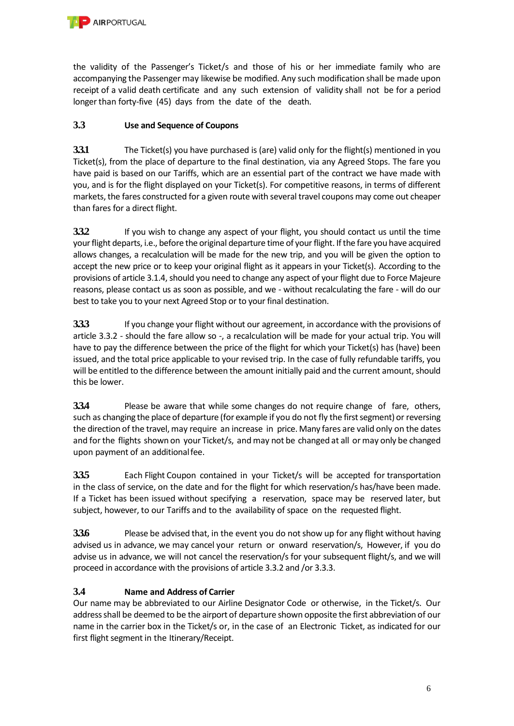

the validity of the Passenger's Ticket/s and those of his or her immediate family who are accompanying the Passenger may likewise be modified. Any such modification shall be made upon receipt of a valid death certificate and any such extension of validity shall not be for a period longer than forty-five (45) days from the date of the death.

# **3.3 Use and Sequence of Coupons**

**3.3.1** The Ticket(s) you have purchased is (are) valid only for the flight(s) mentioned in you Ticket(s), from the place of departure to the final destination, via any Agreed Stops. The fare you have paid is based on our Tariffs, which are an essential part of the contract we have made with you, and is for the flight displayed on your Ticket(s). For competitive reasons, in terms of different markets, the fares constructed for a given route with several travel coupons may come out cheaper than fares for a direct flight.

**3.3.2** If you wish to change any aspect of your flight, you should contact us until the time your flight departs, i.e., before the original departure time of your flight. If the fare you have acquired allows changes, a recalculation will be made for the new trip, and you will be given the option to accept the new price or to keep your original flight as it appears in your Ticket(s). According to the provisions of article 3.1.4, should you need to change any aspect of your flight due to Force Majeure reasons, please contact us as soon as possible, and we - without recalculating the fare - will do our best to take you to your next Agreed Stop or to your final destination.

**33.3** If you change your flight without our agreement, in accordance with the provisions of article 3.3.2 - should the fare allow so -, a recalculation will be made for your actual trip. You will have to pay the difference between the price of the flight for which your Ticket(s) has (have) been issued, and the total price applicable to your revised trip. In the case of fully refundable tariffs, you will be entitled to the difference between the amount initially paid and the current amount, should this be lower.

**3.3.4** Please be aware that while some changes do not require change of fare, others, such as changing the place of departure (for example if you do not fly the first segment) or reversing the direction of the travel, may require an increase in price. Many fares are valid only on the dates and for the flights shown on your Ticket/s, and may not be changed at all or may only be changed upon payment of an additionalfee.

**3.3.5** Each Flight Coupon contained in your Ticket/s will be accepted for transportation in the class of service, on the date and for the flight for which reservation/s has/have been made. If a Ticket has been issued without specifying a reservation, space may be reserved later, but subject, however, to our Tariffs and to the availability of space on the requested flight.

**3.3.6** Please be advised that, in the event you do not show up for any flight without having advised us in advance, we may cancel your return or onward reservation/s, However, if you do advise us in advance, we will not cancel the reservation/s for your subsequent flight/s, and we will proceed in accordance with the provisions of article 3.3.2 and /or 3.3.3.

# **3.4 Name and Address of Carrier**

Our name may be abbreviated to our Airline Designator Code or otherwise, in the Ticket/s. Our address shall be deemed to be the airport of departure shown opposite the first abbreviation of our name in the carrier box in the Ticket/s or, in the case of an Electronic Ticket, as indicated for our first flight segment in the Itinerary/Receipt.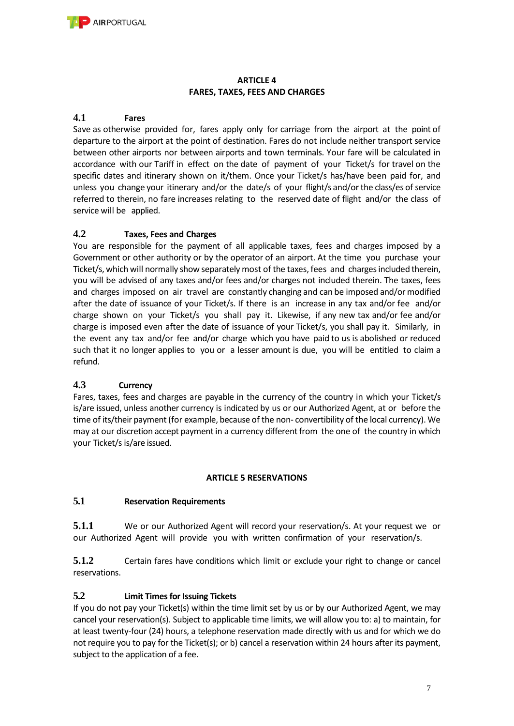# **ARTICLE 4 FARES, TAXES, FEES AND CHARGES**

## **4.1 Fares**

Save as otherwise provided for, fares apply only for carriage from the airport at the point of departure to the airport at the point of destination. Fares do not include neither transport service between other airports nor between airports and town terminals. Your fare will be calculated in accordance with our Tariff in effect on the date of payment of your Ticket/s for travel on the specific dates and itinerary shown on it/them. Once your Ticket/s has/have been paid for, and unless you change your itinerary and/or the date/s of your flight/s and/or the class/es of service referred to therein, no fare increases relating to the reserved date of flight and/or the class of service will be applied.

## **4.2 Taxes, Fees and Charges**

You are responsible for the payment of all applicable taxes, fees and charges imposed by a Government or other authority or by the operator of an airport. At the time you purchase your Ticket/s, which will normally show separately most of the taxes, fees and charges included therein, you will be advised of any taxes and/or fees and/or charges not included therein. The taxes, fees and charges imposed on air travel are constantly changing and can be imposed and/or modified after the date of issuance of your Ticket/s. If there is an increase in any tax and/or fee and/or charge shown on your Ticket/s you shall pay it. Likewise, if any new tax and/or fee and/or charge is imposed even after the date of issuance of your Ticket/s, you shall pay it. Similarly, in the event any tax and/or fee and/or charge which you have paid to us is abolished or reduced such that it no longer applies to you or a lesser amount is due, you will be entitled to claim a refund.

## **4.3 Currency**

Fares, taxes, fees and charges are payable in the currency of the country in which your Ticket/s is/are issued, unless another currency is indicated by us or our Authorized Agent, at or before the time of its/their payment (for example, because of the non- convertibility of the local currency). We may at our discretion accept payment in a currency different from the one of the country in which your Ticket/s is/are issued.

## **ARTICLE 5 RESERVATIONS**

## **5.1 Reservation Requirements**

**5.1.1** We or our Authorized Agent will record your reservation/s. At your request we or our Authorized Agent will provide you with written confirmation of your reservation/s.

**5.1.2** Certain fares have conditions which limit or exclude your right to change or cancel reservations.

## **5.2 Limit Times for Issuing Tickets**

If you do not pay your Ticket(s) within the time limit set by us or by our Authorized Agent, we may cancel your reservation(s). Subject to applicable time limits, we will allow you to: a) to maintain, for at least twenty-four (24) hours, a telephone reservation made directly with us and for which we do not require you to pay for the Ticket(s); or b) cancel a reservation within 24 hours after its payment, subject to the application of a fee.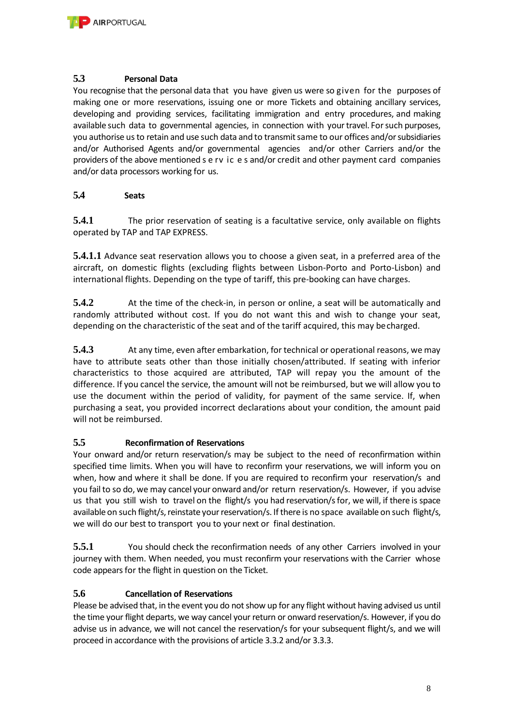

## **5.3 Personal Data**

You recognise that the personal data that you have given us were so given for the purposes of making one or more reservations, issuing one or more Tickets and obtaining ancillary services, developing and providing services, facilitating immigration and entry procedures, and making available such data to governmental agencies, in connection with your travel. For such purposes, you authorise us to retain and use such data and to transmit same to our offices and/or subsidiaries and/or Authorised Agents and/or governmental agencies and/or other Carriers and/or the providers of the above mentioned s e rv ic e s and/or credit and other payment card companies and/or data processors working for us.

#### **5.4 Seats**

**5.4.1** The prior reservation of seating is a facultative service, only available on flights operated by TAP and TAP EXPRESS.

**5.4.1.1** Advance seat reservation allows you to choose a given seat, in a preferred area of the aircraft, on domestic flights (excluding flights between Lisbon-Porto and Porto-Lisbon) and international flights. Depending on the type of tariff, this pre-booking can have charges.

**5.4.2** At the time of the check-in, in person or online, a seat will be automatically and randomly attributed without cost. If you do not want this and wish to change your seat, depending on the characteristic of the seat and of the tariff acquired, this may becharged.

**5.4.3** At any time, even after embarkation, for technical or operational reasons, we may have to attribute seats other than those initially chosen/attributed. If seating with inferior characteristics to those acquired are attributed, TAP will repay you the amount of the difference. If you cancel the service, the amount will not be reimbursed, but we will allow you to use the document within the period of validity, for payment of the same service. If, when purchasing a seat, you provided incorrect declarations about your condition, the amount paid will not be reimbursed.

## **5.5 Reconfirmation of Reservations**

Your onward and/or return reservation/s may be subject to the need of reconfirmation within specified time limits. When you will have to reconfirm your reservations, we will inform you on when, how and where it shall be done. If you are required to reconfirm your reservation/s and you fail to so do, we may cancel your onward and/or return reservation/s. However, if you advise us that you still wish to travel on the flight/s you had reservation/s for, we will, if there is space available on such flight/s, reinstate your reservation/s. If there is no space available on such flight/s, we will do our best to transport you to your next or final destination.

**5.5.1** You should check the reconfirmation needs of any other Carriers involved in your journey with them. When needed, you must reconfirm your reservations with the Carrier whose code appears for the flight in question on the Ticket.

## **5.6 Cancellation of Reservations**

Please be advised that, in the event you do not show up for any flight without having advised us until the time your flight departs, we way cancel your return or onward reservation/s. However, if you do advise us in advance, we will not cancel the reservation/s for your subsequent flight/s, and we will proceed in accordance with the provisions of article 3.3.2 and/or 3.3.3.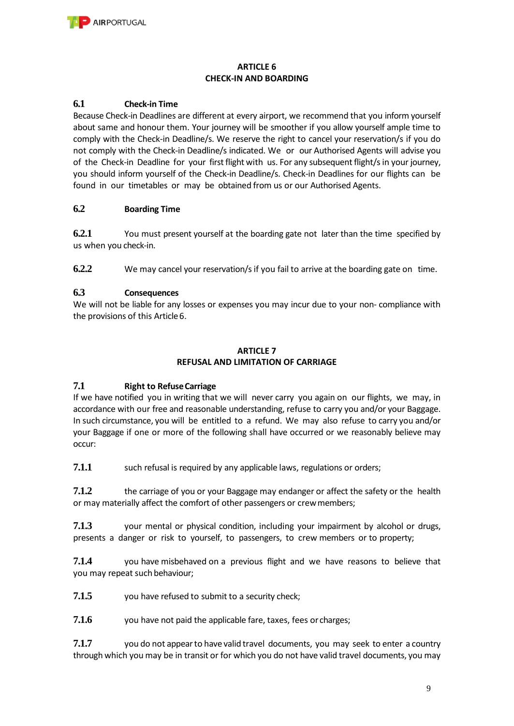

#### **ARTICLE 6 CHECK-IN AND BOARDING**

## **6.1 Check-in Time**

Because Check-in Deadlines are different at every airport, we recommend that you inform yourself about same and honour them. Your journey will be smoother if you allow yourself ample time to comply with the Check-in Deadline/s. We reserve the right to cancel your reservation/s if you do not comply with the Check-in Deadline/s indicated. We or our Authorised Agents will advise you of the Check-in Deadline for your first flight with us. For any subsequent flight/s in your journey, you should inform yourself of the Check-in Deadline/s. Check-in Deadlines for our flights can be found in our timetables or may be obtained from us or our Authorised Agents.

## **6.2 Boarding Time**

**6.2.1** You must present yourself at the boarding gate not later than the time specified by us when you check-in.

**6.2.2** We may cancel your reservation/s if you fail to arrive at the boarding gate on time.

## **6.3 Consequences**

We will not be liable for any losses or expenses you may incur due to your non- compliance with the provisions of this Article6.

#### **ARTICLE 7 REFUSAL AND LIMITATION OF CARRIAGE**

## **7.1 Right to Refuse Carriage**

If we have notified you in writing that we will never carry you again on our flights, we may, in accordance with our free and reasonable understanding, refuse to carry you and/or your Baggage. In such circumstance, you will be entitled to a refund. We may also refuse to carry you and/or your Baggage if one or more of the following shall have occurred or we reasonably believe may occur:

**7.1.1** such refusal is required by any applicable laws, regulations or orders;

**7.1.2** the carriage of you or your Baggage may endanger or affect the safety or the health or may materially affect the comfort of other passengers or crewmembers;

**7.1.3** your mental or physical condition, including your impairment by alcohol or drugs, presents a danger or risk to yourself, to passengers, to crew members or to property;

**7.1.4** you have misbehaved on a previous flight and we have reasons to believe that you may repeat such behaviour;

**7.1.5** you have refused to submit to a security check;

**7.1.6** you have not paid the applicable fare, taxes, fees or charges;

**7.1.7** you do not appear to have valid travel documents, you may seek to enter a country through which you may be in transit or for which you do not have valid travel documents, you may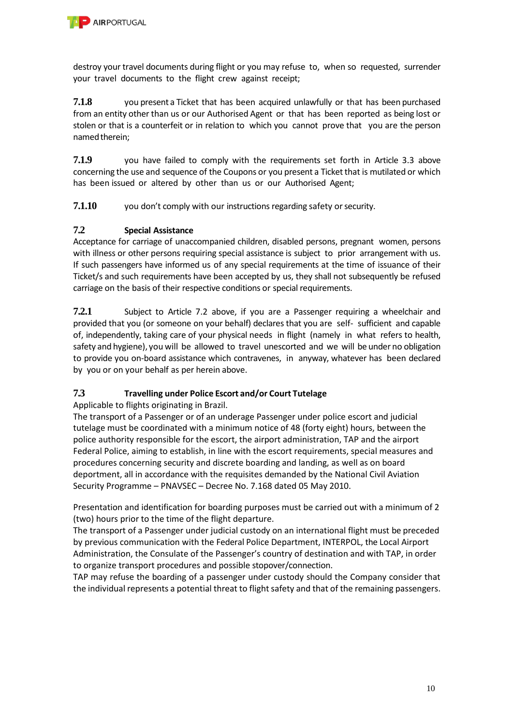

destroy your travel documents during flight or you may refuse to, when so requested, surrender your travel documents to the flight crew against receipt;

**7.1.8** you present a Ticket that has been acquired unlawfully or that has been purchased from an entity other than us or our Authorised Agent or that has been reported as being lost or stolen or that is a counterfeit or in relation to which you cannot prove that you are the person named therein;

**7.1.9** you have failed to comply with the requirements set forth in Article 3.3 above concerning the use and sequence of the Coupons or you present a Ticket that is mutilated or which has been issued or altered by other than us or our Authorised Agent;

**7.1.10** you don't comply with our instructions regarding safety or security.

# **7.2 Special Assistance**

Acceptance for carriage of unaccompanied children, disabled persons, pregnant women, persons with illness or other persons requiring special assistance is subject to prior arrangement with us. If such passengers have informed us of any special requirements at the time of issuance of their Ticket/s and such requirements have been accepted by us, they shall not subsequently be refused carriage on the basis of their respective conditions or special requirements.

**7.2.1** Subject to Article 7.2 above, if you are a Passenger requiring a wheelchair and provided that you (or someone on your behalf) declares that you are self- sufficient and capable of, independently, taking care of your physical needs in flight (namely in what refers to health, safety and hygiene), you will be allowed to travel unescorted and we will be under no obligation to provide you on-board assistance which contravenes, in anyway, whatever has been declared by you or on your behalf as per herein above.

## **7.3 Travelling under Police Escort and/or Court Tutelage**

Applicable to flights originating in Brazil.

The transport of a Passenger or of an underage Passenger under police escort and judicial tutelage must be coordinated with a minimum notice of 48 (forty eight) hours, between the police authority responsible for the escort, the airport administration, TAP and the airport Federal Police, aiming to establish, in line with the escort requirements, special measures and procedures concerning security and discrete boarding and landing, as well as on board deportment, all in accordance with the requisites demanded by the National Civil Aviation Security Programme – PNAVSEC – Decree No. 7.168 dated 05 May 2010.

Presentation and identification for boarding purposes must be carried out with a minimum of 2 (two) hours prior to the time of the flight departure.

The transport of a Passenger under judicial custody on an international flight must be preceded by previous communication with the Federal Police Department, INTERPOL, the Local Airport Administration, the Consulate of the Passenger's country of destination and with TAP, in order to organize transport procedures and possible stopover/connection.

TAP may refuse the boarding of a passenger under custody should the Company consider that the individual represents a potential threat to flight safety and that of the remaining passengers.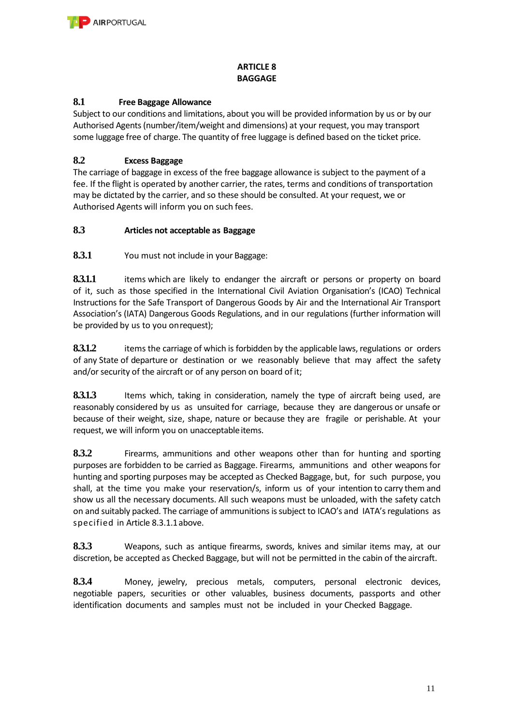

## **ARTICLE 8 BAGGAGE**

## **8.1 Free Baggage Allowance**

Subject to our conditions and limitations, about you will be provided information by us or by our Authorised Agents (number/item/weight and dimensions) at your request, you may transport some luggage free of charge. The quantity of free luggage is defined based on the ticket price.

## **8.2 Excess Baggage**

The carriage of baggage in excess of the free baggage allowance is subject to the payment of a fee. If the flight is operated by another carrier, the rates, terms and conditions of transportation may be dictated by the carrier, and so these should be consulted. At your request, we or Authorised Agents will inform you on such fees.

## **8.3 Articles not acceptable as Baggage**

**8.3.1** You must not include in your Baggage:

**8.3.1.1** items which are likely to endanger the aircraft or persons or property on board of it, such as those specified in the International Civil Aviation Organisation's (ICAO) Technical Instructions for the Safe Transport of Dangerous Goods by Air and the International Air Transport Association's (IATA) Dangerous Goods Regulations, and in our regulations (further information will be provided by us to you onrequest);

**8.3.1.2** items the carriage of which is forbidden by the applicable laws, regulations or orders of any State of departure or destination or we reasonably believe that may affect the safety and/or security of the aircraft or of any person on board of it;

8.3.1.3 Items which, taking in consideration, namely the type of aircraft being used, are reasonably considered by us as unsuited for carriage, because they are dangerous or unsafe or because of their weight, size, shape, nature or because they are fragile or perishable. At your request, we will inform you on unacceptable items.

**8.3.2** Firearms, ammunitions and other weapons other than for hunting and sporting purposes are forbidden to be carried as Baggage. Firearms, ammunitions and other weapons for hunting and sporting purposes may be accepted as Checked Baggage, but, for such purpose, you shall, at the time you make your reservation/s, inform us of your intention to carry them and show us all the necessary documents. All such weapons must be unloaded, with the safety catch on and suitably packed. The carriage of ammunitions is subject to ICAO's and IATA's regulations as specified in Article 8.3.1.1above.

**8.3.3** Weapons, such as antique firearms, swords, knives and similar items may, at our discretion, be accepted as Checked Baggage, but will not be permitted in the cabin of the aircraft.

**8.3.4** Money, jewelry, precious metals, computers, personal electronic devices, negotiable papers, securities or other valuables, business documents, passports and other identification documents and samples must not be included in your Checked Baggage.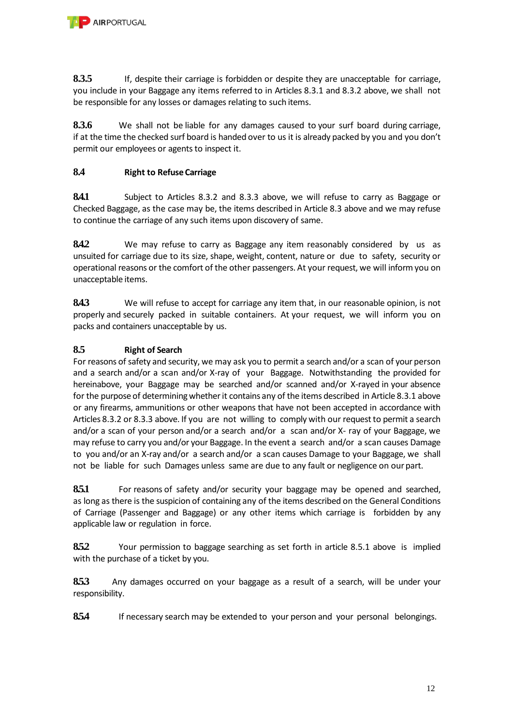**8.3.5** If, despite their carriage is forbidden or despite they are unacceptable for carriage, you include in your Baggage any items referred to in Articles 8.3.1 and 8.3.2 above, we shall not be responsible for any losses or damages relating to such items.

**8.3.6** We shall not be liable for any damages caused to your surf board during carriage, if at the time the checked surf board is handed over to us it is already packed by you and you don't permit our employees or agents to inspect it.

# **8.4 Right to Refuse Carriage**

**8.4.1** Subject to Articles 8.3.2 and 8.3.3 above, we will refuse to carry as Baggage or Checked Baggage, as the case may be, the items described in Article 8.3 above and we may refuse to continue the carriage of any such items upon discovery of same.

**8.4.2** We may refuse to carry as Baggage any item reasonably considered by us as unsuited for carriage due to its size, shape, weight, content, nature or due to safety, security or operational reasons or the comfort of the other passengers. At your request, we will inform you on unacceptable items.

**8.4.3** We will refuse to accept for carriage any item that, in our reasonable opinion, is not properly and securely packed in suitable containers. At your request, we will inform you on packs and containers unacceptable by us.

## **8.5 Right of Search**

For reasons of safety and security, we may ask you to permit a search and/or a scan of your person and a search and/or a scan and/or X-ray of your Baggage. Notwithstanding the provided for hereinabove, your Baggage may be searched and/or scanned and/or X-rayed in your absence for the purpose of determining whether it contains any of the items described in Article 8.3.1 above or any firearms, ammunitions or other weapons that have not been accepted in accordance with Articles 8.3.2 or 8.3.3 above. If you are not willing to comply with our request to permit a search and/or a scan of your person and/or a search and/or a scan and/or X- ray of your Baggage, we may refuse to carry you and/or your Baggage. In the event a search and/or a scan causes Damage to you and/or an X-ray and/or a search and/or a scan causes Damage to your Baggage, we shall not be liable for such Damages unless same are due to any fault or negligence on ourpart.

**8.5.1** For reasons of safety and/or security your baggage may be opened and searched, as long as there is the suspicion of containing any of the items described on the General Conditions of Carriage (Passenger and Baggage) or any other items which carriage is forbidden by any applicable law or regulation in force.

**8.5.2** Your permission to baggage searching as set forth in article 8.5.1 above is implied with the purchase of a ticket by you.

**8.5.3** Any damages occurred on your baggage as a result of a search, will be under your responsibility.

8.5.4 If necessary search may be extended to your person and your personal belongings.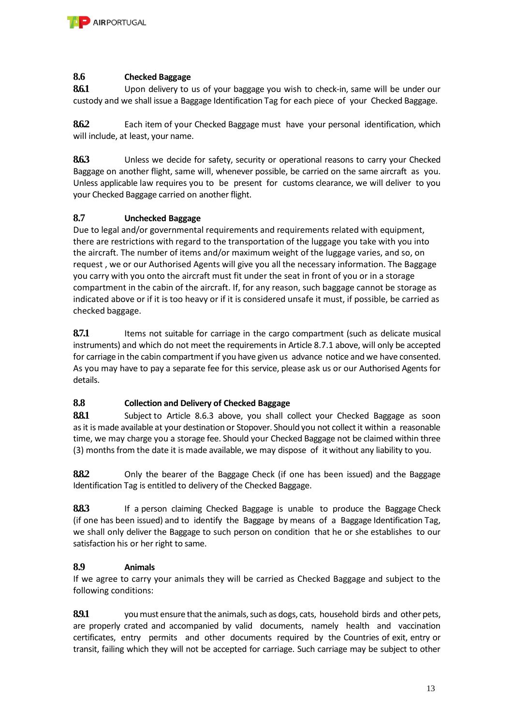

#### **8.6 Checked Baggage**

**8.6.1** Upon delivery to us of your baggage you wish to check-in, same will be under our custody and we shall issue a Baggage Identification Tag for each piece of your Checked Baggage.

**8.6.2** Each item of your Checked Baggage must have your personal identification, which will include, at least, your name.

**8.6.3** Unless we decide for safety, security or operational reasons to carry your Checked Baggage on another flight, same will, whenever possible, be carried on the same aircraft as you. Unless applicable law requires you to be present for customs clearance, we will deliver to you your Checked Baggage carried on another flight.

#### **8.7 Unchecked Baggage**

Due to legal and/or governmental requirements and requirements related with equipment, there are restrictions with regard to the transportation of the luggage you take with you into the aircraft. The number of items and/or maximum weight of the luggage varies, and so, on request , we or our Authorised Agents will give you all the necessary information. The Baggage you carry with you onto the aircraft must fit under the seat in front of you or in a storage compartment in the cabin of the aircraft. If, for any reason, such baggage cannot be storage as indicated above or if it is too heavy or if it is considered unsafe it must, if possible, be carried as checked baggage.

**8.7.1** Items not suitable for carriage in the cargo compartment (such as delicate musical instruments) and which do not meet the requirements in Article 8.7.1 above, will only be accepted for carriage in the cabin compartment if you have given us advance notice and we have consented. As you may have to pay a separate fee for this service, please ask us or our Authorised Agents for details.

## **8.8 Collection and Delivery of Checked Baggage**

8.8.1 Subject to Article 8.6.3 above, you shall collect your Checked Baggage as soon as it is made available at your destination or Stopover. Should you not collect it within a reasonable time, we may charge you a storage fee. Should your Checked Baggage not be claimed within three (3) months from the date it is made available, we may dispose of it without any liability to you.

**8.8.2** Only the bearer of the Baggage Check (if one has been issued) and the Baggage Identification Tag is entitled to delivery of the Checked Baggage.

**8.8.3** If a person claiming Checked Baggage is unable to produce the Baggage Check (if one has been issued) and to identify the Baggage by means of a Baggage Identification Tag, we shall only deliver the Baggage to such person on condition that he or she establishes to our satisfaction his or her right to same.

#### **8.9 Animals**

If we agree to carry your animals they will be carried as Checked Baggage and subject to the following conditions:

**8.9.1** you must ensure that the animals, such as dogs, cats, household birds and other pets, are properly crated and accompanied by valid documents, namely health and vaccination certificates, entry permits and other documents required by the Countries of exit, entry or transit, failing which they will not be accepted for carriage. Such carriage may be subject to other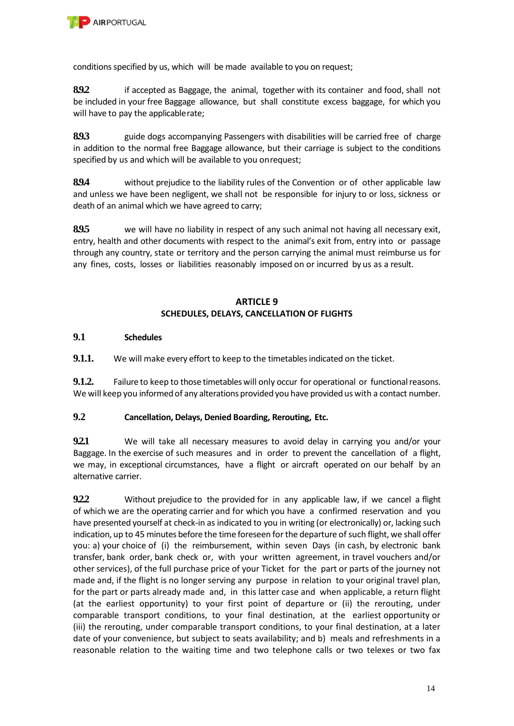

conditions specified by us, which will be made available to you on request;

**8.9.2** if accepted as Baggage, the animal, together with its container and food, shall not be included in your free Baggage allowance, but shall constitute excess baggage, for which you will have to pay the applicable rate;

**8.9.3** guide dogs accompanying Passengers with disabilities will be carried free of charge in addition to the normal free Baggage allowance, but their carriage is subject to the conditions specified by us and which will be available to you onrequest;

**8.9.4** without prejudice to the liability rules of the Convention or of other applicable law and unless we have been negligent, we shall not be responsible for injury to or loss, sickness or death of an animal which we have agreed to carry;

**8.9.5** we will have no liability in respect of any such animal not having all necessary exit, entry, health and other documents with respect to the animal's exit from, entry into or passage through any country, state or territory and the person carrying the animal must reimburse us for any fines, costs, losses or liabilities reasonably imposed on or incurred by us as a result.

## **ARTICLE 9 SCHEDULES, DELAYS, CANCELLATION OF FLIGHTS**

#### **9.1 Schedules**

**9.1.1.** We will make every effort to keep to the timetables indicated on the ticket.

**9.1.2.** Failure to keep to those timetables will only occur for operational or functional reasons. We will keep you informed of any alterations provided you have provided us with a contact number.

## **9.2 Cancellation, Delays, Denied Boarding, Rerouting, Etc.**

**9.2.1** We will take all necessary measures to avoid delay in carrying you and/or your Baggage. In the exercise of such measures and in order to prevent the cancellation of a flight, we may, in exceptional circumstances, have a flight or aircraft operated on our behalf by an alternative carrier.

**9.2.2** Without prejudice to the provided for in any applicable law, if we cancel a flight of which we are the operating carrier and for which you have a confirmed reservation and you have presented yourself at check-in as indicated to you in writing (or electronically) or, lacking such indication, up to 45 minutes before the time foreseen for the departure of such flight, we shall offer you: a) your choice of (i) the reimbursement, within seven Days (in cash, by electronic bank transfer, bank order, bank check or, with your written agreement, in travel vouchers and/or other services), of the full purchase price of your Ticket for the part or parts of the journey not made and, if the flight is no longer serving any purpose in relation to your original travel plan, for the part or parts already made and, in this latter case and when applicable, a return flight (at the earliest opportunity) to your first point of departure or (ii) the rerouting, under comparable transport conditions, to your final destination, at the earliest opportunity or (iii) the rerouting, under comparable transport conditions, to your final destination, at a later date of your convenience, but subject to seats availability; and b) meals and refreshments in a reasonable relation to the waiting time and two telephone calls or two telexes or two fax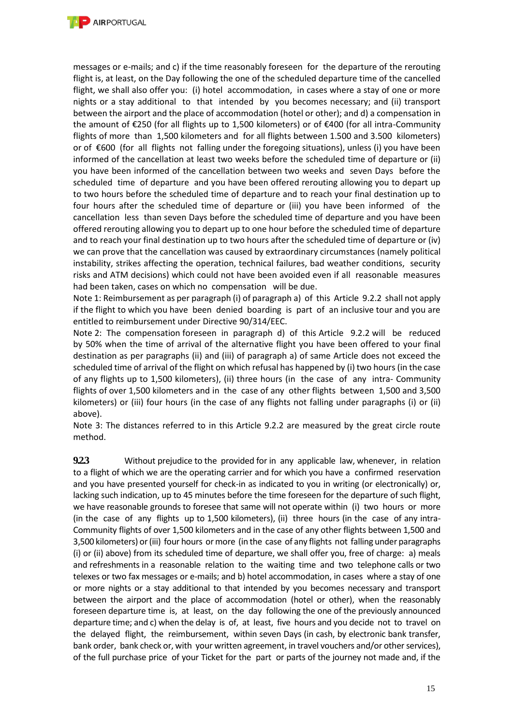

messages or e-mails; and c) if the time reasonably foreseen for the departure of the rerouting flight is, at least, on the Day following the one of the scheduled departure time of the cancelled flight, we shall also offer you: (i) hotel accommodation, in cases where a stay of one or more nights or a stay additional to that intended by you becomes necessary; and (ii) transport between the airport and the place of accommodation (hotel or other); and d) a compensation in the amount of €250 (for all flights up to 1,500 kilometers) or of €400 (for all intra-Community flights of more than 1,500 kilometers and for all flights between 1.500 and 3.500 kilometers) or of €600 (for all flights not falling under the foregoing situations), unless (i) you have been informed of the cancellation at least two weeks before the scheduled time of departure or (ii) you have been informed of the cancellation between two weeks and seven Days before the scheduled time of departure and you have been offered rerouting allowing you to depart up to two hours before the scheduled time of departure and to reach your final destination up to four hours after the scheduled time of departure or (iii) you have been informed of the cancellation less than seven Days before the scheduled time of departure and you have been offered rerouting allowing you to depart up to one hour before the scheduled time of departure and to reach your final destination up to two hours after the scheduled time of departure or (iv) we can prove that the cancellation was caused by extraordinary circumstances (namely political instability, strikes affecting the operation, technical failures, bad weather conditions, security risks and ATM decisions) which could not have been avoided even if all reasonable measures had been taken, cases on which no compensation will be due.

Note 1: Reimbursement as per paragraph (i) of paragraph a) of this Article 9.2.2 shall not apply if the flight to which you have been denied boarding is part of an inclusive tour and you are entitled to reimbursement under Directive 90/314/EEC.

Note 2: The compensation foreseen in paragraph d) of this Article 9.2.2 will be reduced by 50% when the time of arrival of the alternative flight you have been offered to your final destination as per paragraphs (ii) and (iii) of paragraph a) of same Article does not exceed the scheduled time of arrival of the flight on which refusal has happened by (i) two hours (in the case of any flights up to 1,500 kilometers), (ii) three hours (in the case of any intra- Community flights of over 1,500 kilometers and in the case of any other flights between 1,500 and 3,500 kilometers) or (iii) four hours (in the case of any flights not falling under paragraphs (i) or (ii) above).

Note 3: The distances referred to in this Article 9.2.2 are measured by the great circle route method.

**9.2.3** Without prejudice to the provided for in any applicable law, whenever, in relation to a flight of which we are the operating carrier and for which you have a confirmed reservation and you have presented yourself for check-in as indicated to you in writing (or electronically) or, lacking such indication, up to 45 minutes before the time foreseen for the departure of such flight, we have reasonable grounds to foresee that same will not operate within (i) two hours or more (in the case of any flights up to 1,500 kilometers), (ii) three hours (in the case of any intra-Community flights of over 1,500 kilometers and in the case of any other flights between 1,500 and 3,500 kilometers) or (iii) four hours or more (in the case of any flights not falling under paragraphs (i) or (ii) above) from its scheduled time of departure, we shall offer you, free of charge: a) meals and refreshments in a reasonable relation to the waiting time and two telephone calls or two telexes or two fax messages or e-mails; and b) hotel accommodation, in cases where a stay of one or more nights or a stay additional to that intended by you becomes necessary and transport between the airport and the place of accommodation (hotel or other), when the reasonably foreseen departure time is, at least, on the day following the one of the previously announced departure time; and c) when the delay is of, at least, five hours and you decide not to travel on the delayed flight, the reimbursement, within seven Days (in cash, by electronic bank transfer, bank order, bank check or, with your written agreement, in travel vouchers and/or other services), of the full purchase price of your Ticket for the part or parts of the journey not made and, if the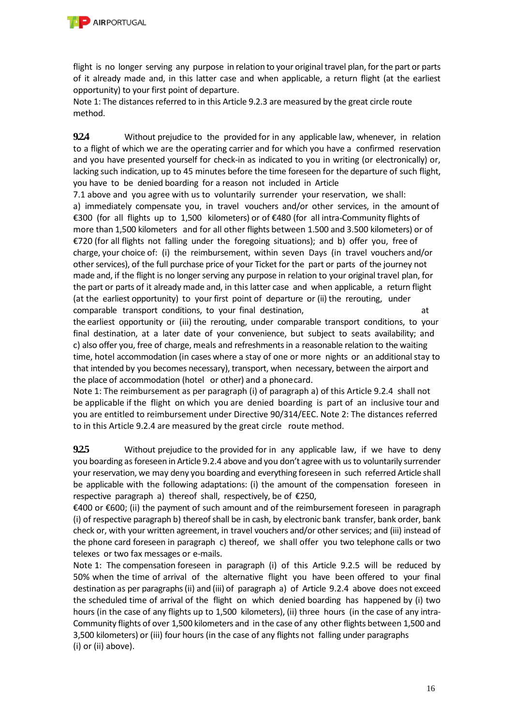

flight is no longer serving any purpose in relation to your original travel plan, for the part or parts of it already made and, in this latter case and when applicable, a return flight (at the earliest opportunity) to your first point of departure.

Note 1: The distances referred to in this Article 9.2.3 are measured by the great circle route method.

**9.2.4** Without prejudice to the provided for in any applicable law, whenever, in relation to a flight of which we are the operating carrier and for which you have a confirmed reservation and you have presented yourself for check-in as indicated to you in writing (or electronically) or, lacking such indication, up to 45 minutes before the time foreseen for the departure of such flight, you have to be denied boarding for a reason not included in Article

7.1 above and you agree with us to voluntarily surrender your reservation, we shall: a) immediately compensate you, in travel vouchers and/or other services, in the amount of €300 (for all flights up to 1,500 kilometers) or of €480 (for all intra-Community flights of more than 1,500 kilometers and for all other flights between 1.500 and 3.500 kilometers) or of €720 (for all flights not falling under the foregoing situations); and b) offer you, free of charge, your choice of: (i) the reimbursement, within seven Days (in travel vouchers and/or other services), of the full purchase price of your Ticket for the part or parts of the journey not made and, if the flight is no longer serving any purpose in relation to your original travel plan, for the part or parts of it already made and, in this latter case and when applicable, a return flight (at the earliest opportunity) to your first point of departure or (ii) the rerouting, under comparable transport conditions, to your final destination, and the match of the comparable transport conditions, to your final destination,

the earliest opportunity or (iii) the rerouting, under comparable transport conditions, to your final destination, at a later date of your convenience, but subject to seats availability; and c) also offer you, free of charge, meals and refreshments in a reasonable relation to the waiting time, hotel accommodation (in cases where a stay of one or more nights or an additional stay to that intended by you becomes necessary), transport, when necessary, between the airport and the place of accommodation (hotel or other) and a phonecard.

Note 1: The reimbursement as per paragraph (i) of paragraph a) of this Article 9.2.4 shall not be applicable if the flight on which you are denied boarding is part of an inclusive tour and you are entitled to reimbursement under Directive 90/314/EEC. Note 2: The distances referred to in this Article 9.2.4 are measured by the great circle route method.

**9.2.5** Without prejudice to the provided for in any applicable law, if we have to deny you boarding as foreseen in Article 9.2.4 above and you don't agree with us to voluntarily surrender your reservation, we may deny you boarding and everything foreseen in such referred Article shall be applicable with the following adaptations: (i) the amount of the compensation foreseen in respective paragraph a) thereof shall, respectively, be of €250,

€400 or €600; (ii) the payment of such amount and of the reimbursement foreseen in paragraph (i) of respective paragraph b) thereof shall be in cash, by electronic bank transfer, bank order, bank check or, with your written agreement, in travel vouchers and/or other services; and (iii) instead of the phone card foreseen in paragraph c) thereof, we shall offer you two telephone calls or two telexes or two fax messages or e-mails.

Note 1: The compensation foreseen in paragraph (i) of this Article 9.2.5 will be reduced by 50% when the time of arrival of the alternative flight you have been offered to your final destination as per paragraphs (ii) and (iii) of paragraph a) of Article 9.2.4 above does not exceed the scheduled time of arrival of the flight on which denied boarding has happened by (i) two hours (in the case of any flights up to 1,500 kilometers), (ii) three hours (in the case of any intra-Community flights of over 1,500 kilometers and in the case of any other flights between 1,500 and 3,500 kilometers) or (iii) four hours (in the case of any flights not falling under paragraphs (i) or (ii) above).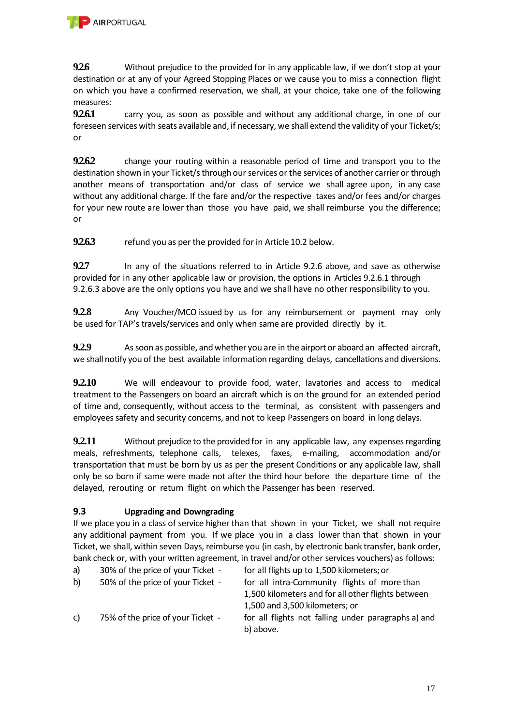

**9.2.6** Without prejudice to the provided for in any applicable law, if we don't stop at your destination or at any of your Agreed Stopping Places or we cause you to miss a connection flight on which you have a confirmed reservation, we shall, at your choice, take one of the following measures:

**9.2.6.1** carry you, as soon as possible and without any additional charge, in one of our foreseen services with seats available and, if necessary, we shall extend the validity of your Ticket/s; or

**9.2.6.2** change your routing within a reasonable period of time and transport you to the destination shown in your Ticket/s through our services or the services of another carrier or through another means of transportation and/or class of service we shall agree upon, in any case without any additional charge. If the fare and/or the respective taxes and/or fees and/or charges for your new route are lower than those you have paid, we shall reimburse you the difference; or

**9.2.6.3** refund you as per the provided for in Article 10.2 below.

**9.2.7** In any of the situations referred to in Article 9.2.6 above, and save as otherwise provided for in any other applicable law or provision, the options in Articles 9.2.6.1 through 9.2.6.3 above are the only options you have and we shall have no other responsibility to you.

**9.2.8** Any Voucher/MCO issued by us for any reimbursement or payment may only be used for TAP's travels/services and only when same are provided directly by it.

**9.2.9** As soon as possible, and whether you are in the airport or aboard an affected aircraft, we shall notify you of the best available information regarding delays, cancellations and diversions.

**9.2.10** We will endeavour to provide food, water, lavatories and access to medical treatment to the Passengers on board an aircraft which is on the ground for an extended period of time and, consequently, without access to the terminal, as consistent with passengers and employees safety and security concerns, and not to keep Passengers on board in long delays.

**9.2.11** Without prejudice to the provided for in any applicable law, any expenses regarding meals, refreshments, telephone calls, telexes, faxes, e-mailing, accommodation and/or transportation that must be born by us as per the present Conditions or any applicable law, shall only be so born if same were made not after the third hour before the departure time of the delayed, rerouting or return flight on which the Passenger has been reserved.

# **9.3 Upgrading and Downgrading**

If we place you in a class of service higher than that shown in your Ticket, we shall not require any additional payment from you. If we place you in a class lower than that shown in your Ticket, we shall, within seven Days, reimburse you (in cash, by electronic bank transfer, bank order, bank check or, with your written agreement, in travel and/or other services vouchers) as follows:

| a)            | 30% of the price of your Ticket - | for all flights up to 1,500 kilometers; or          |
|---------------|-----------------------------------|-----------------------------------------------------|
| $\mathbf{b}$  | 50% of the price of your Ticket - | for all intra-Community flights of more than        |
|               |                                   | 1,500 kilometers and for all other flights between  |
|               |                                   | 1,500 and 3,500 kilometers; or                      |
| $\mathcal{C}$ | 75% of the price of your Ticket - | for all flights not falling under paragraphs a) and |
|               |                                   | b) above.                                           |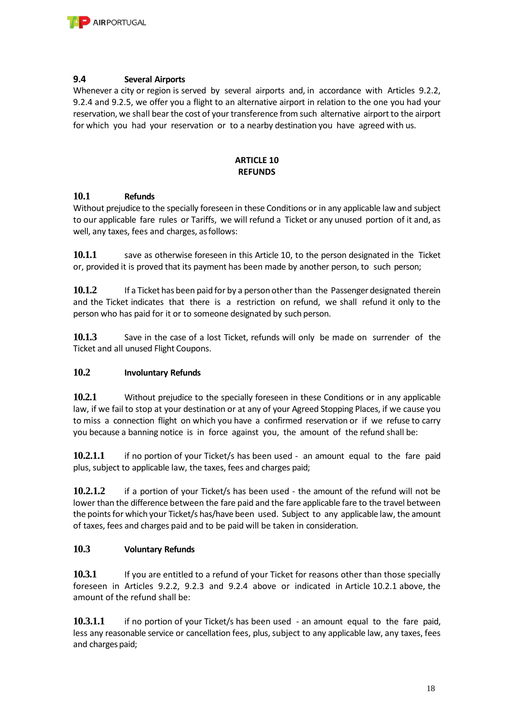

#### **9.4 Several Airports**

Whenever a city or region is served by several airports and, in accordance with Articles 9.2.2, 9.2.4 and 9.2.5, we offer you a flight to an alternative airport in relation to the one you had your reservation, we shall bear the cost of your transference from such alternative airport to the airport for which you had your reservation or to a nearby destination you have agreed with us.

#### **ARTICLE 10 REFUNDS**

#### **10.1 Refunds**

Without prejudice to the specially foreseen in these Conditions or in any applicable law and subject to our applicable fare rules or Tariffs, we will refund a Ticket or any unused portion of it and, as well, any taxes, fees and charges, asfollows:

**10.1.1** save as otherwise foreseen in this Article 10, to the person designated in the Ticket or, provided it is proved that its payment has been made by another person, to such person;

**10.1.2** If a Ticket has been paid for by a person other than the Passenger designated therein and the Ticket indicates that there is a restriction on refund, we shall refund it only to the person who has paid for it or to someone designated by such person.

**10.1.3** Save in the case of a lost Ticket, refunds will only be made on surrender of the Ticket and all unused Flight Coupons.

## **10.2 Involuntary Refunds**

**10.2.1** Without prejudice to the specially foreseen in these Conditions or in any applicable law, if we fail to stop at your destination or at any of your Agreed Stopping Places, if we cause you to miss a connection flight on which you have a confirmed reservation or if we refuse to carry you because a banning notice is in force against you, the amount of the refund shall be:

**10.2.1.1** if no portion of your Ticket/s has been used - an amount equal to the fare paid plus, subject to applicable law, the taxes, fees and charges paid;

**10.2.1.2** if a portion of your Ticket/s has been used - the amount of the refund will not be lower than the difference between the fare paid and the fare applicable fare to the travel between the points for which your Ticket/s has/have been used. Subject to any applicable law, the amount of taxes, fees and charges paid and to be paid will be taken in consideration.

## **10.3 Voluntary Refunds**

**10.3.1** If you are entitled to a refund of your Ticket for reasons other than those specially foreseen in Articles 9.2.2, 9.2.3 and 9.2.4 above or indicated in Article 10.2.1 above, the amount of the refund shall be:

**10.3.1.1** if no portion of your Ticket/s has been used - an amount equal to the fare paid, less any reasonable service or cancellation fees, plus, subject to any applicable law, any taxes, fees and charges paid;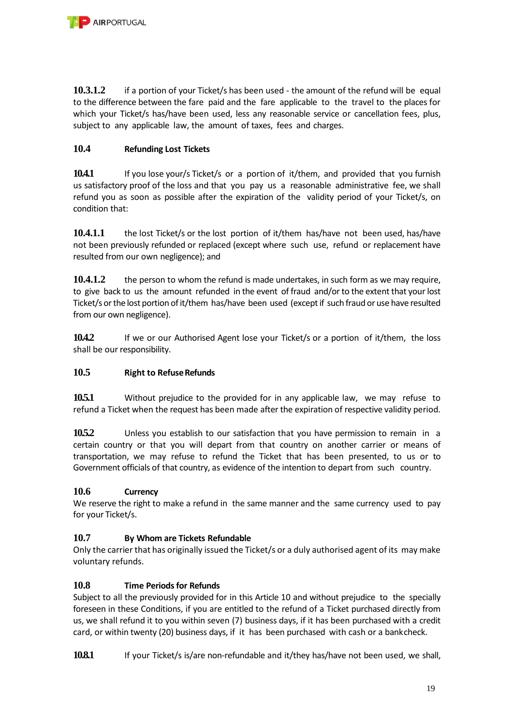

**10.3.1.2** if a portion of your Ticket/s has been used - the amount of the refund will be equal to the difference between the fare paid and the fare applicable to the travel to the places for which your Ticket/s has/have been used, less any reasonable service or cancellation fees, plus, subject to any applicable law, the amount of taxes, fees and charges.

## **10.4 Refunding Lost Tickets**

**10.4.1** If you lose your/s Ticket/s or a portion of it/them, and provided that you furnish us satisfactory proof of the loss and that you pay us a reasonable administrative fee, we shall refund you as soon as possible after the expiration of the validity period of your Ticket/s, on condition that:

**10.4.1.1** the lost Ticket/s or the lost portion of it/them has/have not been used, has/have not been previously refunded or replaced (except where such use, refund or replacement have resulted from our own negligence); and

**10.4.1.2** the person to whom the refund is made undertakes, in such form as we may require, to give back to us the amount refunded in the event of fraud and/or to the extent that your lost Ticket/s or the lost portion of it/them has/have been used (except if such fraud or use have resulted from our own negligence).

**10.4.2** If we or our Authorised Agent lose your Ticket/s or a portion of it/them, the loss shall be our responsibility.

## **10.5 Right to Refuse Refunds**

**10.5.1** Without prejudice to the provided for in any applicable law, we may refuse to refund a Ticket when the request has been made after the expiration of respective validity period.

**10.5.2** Unless you establish to our satisfaction that you have permission to remain in a certain country or that you will depart from that country on another carrier or means of transportation, we may refuse to refund the Ticket that has been presented, to us or to Government officials of that country, as evidence of the intention to depart from such country.

## **10.6 Currency**

We reserve the right to make a refund in the same manner and the same currency used to pay for your Ticket/s.

## **10.7 By Whom are Tickets Refundable**

Only the carrier that has originally issued the Ticket/s or a duly authorised agent of its may make voluntary refunds.

## **10.8 Time Periods for Refunds**

Subject to all the previously provided for in this Article 10 and without prejudice to the specially foreseen in these Conditions, if you are entitled to the refund of a Ticket purchased directly from us, we shall refund it to you within seven (7) business days, if it has been purchased with a credit card, or within twenty (20) business days, if it has been purchased with cash or a bankcheck.

**10.8.1** If your Ticket/s is/are non-refundable and it/they has/have not been used, we shall,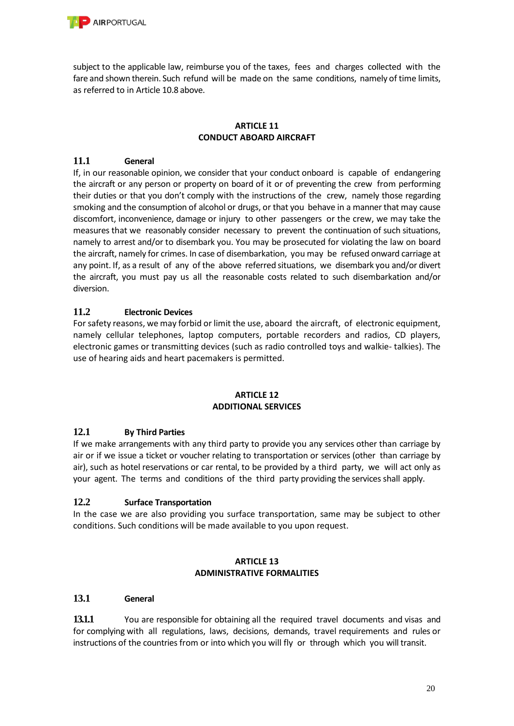

subject to the applicable law, reimburse you of the taxes, fees and charges collected with the fare and shown therein. Such refund will be made on the same conditions, namely of time limits, as referred to in Article 10.8 above.

#### **ARTICLE 11 CONDUCT ABOARD AIRCRAFT**

## **11.1 General**

If, in our reasonable opinion, we consider that your conduct onboard is capable of endangering the aircraft or any person or property on board of it or of preventing the crew from performing their duties or that you don't comply with the instructions of the crew, namely those regarding smoking and the consumption of alcohol or drugs, or that you behave in a manner that may cause discomfort, inconvenience, damage or injury to other passengers or the crew, we may take the measures that we reasonably consider necessary to prevent the continuation of such situations, namely to arrest and/or to disembark you. You may be prosecuted for violating the law on board the aircraft, namely for crimes. In case of disembarkation, you may be refused onward carriage at any point. If, as a result of any of the above referred situations, we disembark you and/or divert the aircraft, you must pay us all the reasonable costs related to such disembarkation and/or diversion.

## **11.2 Electronic Devices**

For safety reasons, we may forbid or limit the use, aboard the aircraft, of electronic equipment, namely cellular telephones, laptop computers, portable recorders and radios, CD players, electronic games or transmitting devices (such as radio controlled toys and walkie- talkies). The use of hearing aids and heart pacemakers is permitted.

#### **ARTICLE 12 ADDITIONAL SERVICES**

## **12.1 By Third Parties**

If we make arrangements with any third party to provide you any services other than carriage by air or if we issue a ticket or voucher relating to transportation or services (other than carriage by air), such as hotel reservations or car rental, to be provided by a third party, we will act only as your agent. The terms and conditions of the third party providing the services shall apply.

## **12.2 Surface Transportation**

In the case we are also providing you surface transportation, same may be subject to other conditions. Such conditions will be made available to you upon request.

#### **ARTICLE 13 ADMINISTRATIVE FORMALITIES**

#### **13.1 General**

**13.1.1** You are responsible for obtaining all the required travel documents and visas and for complying with all regulations, laws, decisions, demands, travel requirements and rules or instructions of the countries from or into which you will fly or through which you will transit.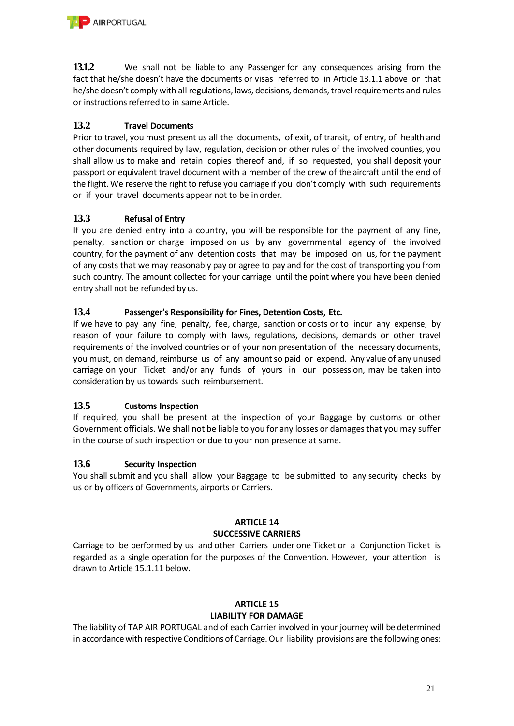**13.1.2** We shall not be liable to any Passenger for any consequences arising from the fact that he/she doesn't have the documents or visas referred to in Article 13.1.1 above or that he/she doesn't comply with all regulations, laws, decisions, demands, travel requirements and rules or instructions referred to in same Article.

# **13.2 Travel Documents**

Prior to travel, you must present us all the documents, of exit, of transit, of entry, of health and other documents required by law, regulation, decision or other rules of the involved counties, you shall allow us to make and retain copies thereof and, if so requested, you shall deposit your passport or equivalent travel document with a member of the crew of the aircraft until the end of the flight. We reserve the right to refuse you carriage if you don't comply with such requirements or if your travel documents appear not to be in order.

# **13.3 Refusal of Entry**

If you are denied entry into a country, you will be responsible for the payment of any fine, penalty, sanction or charge imposed on us by any governmental agency of the involved country, for the payment of any detention costs that may be imposed on us, for the payment of any costs that we may reasonably pay or agree to pay and for the cost of transporting you from such country. The amount collected for your carriage until the point where you have been denied entry shall not be refunded by us.

# **13.4 Passenger's Responsibility for Fines, Detention Costs, Etc.**

If we have to pay any fine, penalty, fee, charge, sanction or costs or to incur any expense, by reason of your failure to comply with laws, regulations, decisions, demands or other travel requirements of the involved countries or of your non presentation of the necessary documents, you must, on demand, reimburse us of any amount so paid or expend. Any value of any unused carriage on your Ticket and/or any funds of yours in our possession, may be taken into consideration by us towards such reimbursement.

# **13.5 Customs Inspection**

If required, you shall be present at the inspection of your Baggage by customs or other Government officials. We shall not be liable to you for any losses or damages that you may suffer in the course of such inspection or due to your non presence at same.

# **13.6 Security Inspection**

You shall submit and you shall allow your Baggage to be submitted to any security checks by us or by officers of Governments, airports or Carriers.

#### **ARTICLE 14 SUCCESSIVE CARRIERS**

Carriage to be performed by us and other Carriers under one Ticket or a Conjunction Ticket is regarded as a single operation for the purposes of the Convention. However, your attention is drawn to Article 15.1.11 below.

## **ARTICLE 15**

## **LIABILITY FOR DAMAGE**

The liability of TAP AIR PORTUGAL and of each Carrier involved in your journey will be determined in accordance with respective Conditions of Carriage. Our liability provisions are the following ones: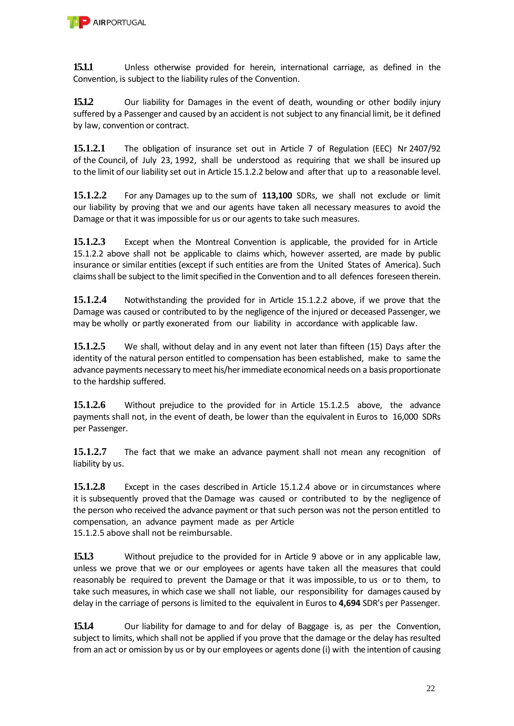**15.1.1** Unless otherwise provided for herein, international carriage, as defined in the Convention, is subject to the liability rules of the Convention.

**15.1.2** Our liability for Damages in the event of death, wounding or other bodily injury suffered by a Passenger and caused by an accident is not subject to any financial limit, be it defined by law, convention or contract.

**15.1.2.1** The obligation of insurance set out in Article 7 of Regulation (EEC) Nr 2407/92 of the Council, of July 23, 1992, shall be understood as requiring that we shall be insured up to the limit of our liability set out in Article 15.1.2.2 below and after that up to a reasonable level.

**15.1.2.2** For any Damages up to the sum of **113,100** SDRs, we shall not exclude or limit our liability by proving that we and our agents have taken all necessary measures to avoid the Damage or that it was impossible for us or our agents to take such measures.

**15.1.2.3** Except when the Montreal Convention is applicable, the provided for in Article 15.1.2.2 above shall not be applicable to claims which, however asserted, are made by public insurance or similar entities (except if such entities are from the United States of America). Such claims shall be subject to the limit specified in the Convention and to all defences foreseen therein.

**15.1.2.4** Notwithstanding the provided for in Article 15.1.2.2 above, if we prove that the Damage was caused or contributed to by the negligence of the injured or deceased Passenger, we may be wholly or partly exonerated from our liability in accordance with applicable law.

**15.1.2.5** We shall, without delay and in any event not later than fifteen (15) Days after the identity of the natural person entitled to compensation has been established, make to same the advance payments necessary to meet his/her immediate economical needs on a basis proportionate to the hardship suffered.

**15.1.2.6** Without prejudice to the provided for in Article 15.1.2.5 above, the advance payments shall not, in the event of death, be lower than the equivalent in Euros to 16,000 SDRs per Passenger.

**15.1.2.7** The fact that we make an advance payment shall not mean any recognition of liability by us.

**15.1.2.8** Except in the cases described in Article 15.1.2.4 above or in circumstances where it is subsequently proved that the Damage was caused or contributed to by the negligence of the person who received the advance payment or that such person was not the person entitled to compensation, an advance payment made as per Article 15.1.2.5 above shall not be reimbursable.

**15.1.3** Without prejudice to the provided for in Article 9 above or in any applicable law, unless we prove that we or our employees or agents have taken all the measures that could reasonably be required to prevent the Damage or that it was impossible, to us or to them, to take such measures, in which case we shall not liable, our responsibility for damages caused by delay in the carriage of persons is limited to the equivalent in Euros to **4,694** SDR's per Passenger.

**15.1.4** Our liability for damage to and for delay of Baggage is, as per the Convention, subject to limits, which shall not be applied if you prove that the damage or the delay has resulted from an act or omission by us or by our employees or agents done (i) with the intention of causing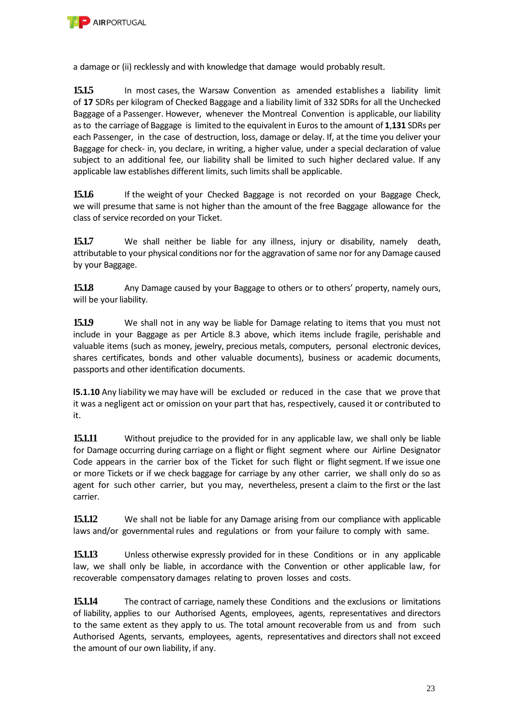

a damage or (ii) recklessly and with knowledge that damage would probably result.

**15.1.5** In most cases, the Warsaw Convention as amended establishes a liability limit of **17** SDRs per kilogram of Checked Baggage and a liability limit of 332 SDRs for all the Unchecked Baggage of a Passenger. However, whenever the Montreal Convention is applicable, our liability as to the carriage of Baggage is limited to the equivalent in Euros to the amount of **1**,**131** SDRs per each Passenger, in the case of destruction, loss, damage or delay. If, at the time you deliver your Baggage for check- in, you declare, in writing, a higher value, under a special declaration of value subject to an additional fee, our liability shall be limited to such higher declared value. If any applicable law establishes different limits, such limits shall be applicable.

**15.1.6** If the weight of your Checked Baggage is not recorded on your Baggage Check, we will presume that same is not higher than the amount of the free Baggage allowance for the class of service recorded on your Ticket.

**15.1.7** We shall neither be liable for any illness, injury or disability, namely death, attributable to your physical conditions nor for the aggravation of same nor for any Damage caused by your Baggage.

**15.1.8** Any Damage caused by your Baggage to others or to others' property, namely ours, will be your liability.

**15.1.9** We shall not in any way be liable for Damage relating to items that you must not include in your Baggage as per Article 8.3 above, which items include fragile, perishable and valuable items (such as money, jewelry, precious metals, computers, personal electronic devices, shares certificates, bonds and other valuable documents), business or academic documents, passports and other identification documents.

**l5.1.10** Any liability we may have will be excluded or reduced in the case that we prove that it was a negligent act or omission on your part that has, respectively, caused it or contributed to it.

**15.1.11** Without prejudice to the provided for in any applicable law, we shall only be liable for Damage occurring during carriage on a flight or flight segment where our Airline Designator Code appears in the carrier box of the Ticket for such flight or flight segment. If we issue one or more Tickets or if we check baggage for carriage by any other carrier, we shall only do so as agent for such other carrier, but you may, nevertheless, present a claim to the first or the last carrier.

**15.1.12** We shall not be liable for any Damage arising from our compliance with applicable laws and/or governmental rules and regulations or from your failure to comply with same.

**15.1.13** Unless otherwise expressly provided for in these Conditions or in any applicable law, we shall only be liable, in accordance with the Convention or other applicable law, for recoverable compensatory damages relating to proven losses and costs.

**15.1.14** The contract of carriage, namely these Conditions and the exclusions or limitations of liability, applies to our Authorised Agents, employees, agents, representatives and directors to the same extent as they apply to us. The total amount recoverable from us and from such Authorised Agents, servants, employees, agents, representatives and directors shall not exceed the amount of our own liability, if any.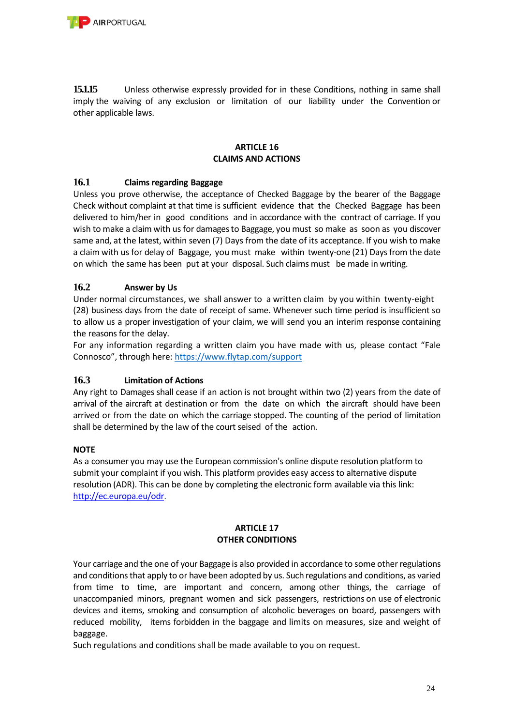

**15.1.15** Unless otherwise expressly provided for in these Conditions, nothing in same shall imply the waiving of any exclusion or limitation of our liability under the Convention or other applicable laws.

#### **ARTICLE 16 CLAIMS AND ACTIONS**

## **16.1 Claims regarding Baggage**

Unless you prove otherwise, the acceptance of Checked Baggage by the bearer of the Baggage Check without complaint at that time is sufficient evidence that the Checked Baggage has been delivered to him/her in good conditions and in accordance with the contract of carriage. If you wish to make a claim with us for damages to Baggage, you must so make as soon as you discover same and, at the latest, within seven (7) Days from the date of its acceptance. If you wish to make a claim with us for delay of Baggage, you must make within twenty-one (21) Days from the date on which the same has been put at your disposal. Such claims must be made in writing.

## **16.2 Answer by Us**

Under normal circumstances, we shall answer to a written claim by you within twenty-eight (28) business days from the date of receipt of same. Whenever such time period is insufficient so to allow us a proper investigation of your claim, we will send you an interim response containing the reasons for the delay.

For any information regarding a written claim you have made with us, please contact "Fale Connosco", through here: <https://www.flytap.com/support>

## **16.3 Limitation of Actions**

Any right to Damages shall cease if an action is not brought within two (2) years from the date of arrival of the aircraft at destination or from the date on which the aircraft should have been arrived or from the date on which the carriage stopped. The counting of the period of limitation shall be determined by the law of the court seised of the action.

#### **NOTE**

As a consumer you may use the European commission's online dispute resolution platform to submit your complaint if you wish. This platform provides easy access to alternative dispute resolution (ADR). This can be done by completing the electronic form available via this link: [http://ec.europa.eu/odr.](http://ec.europa.eu/odr)

#### **ARTICLE 17 OTHER CONDITIONS**

Your carriage and the one of your Baggage is also provided in accordance to some other regulations and conditions that apply to or have been adopted by us. Such regulations and conditions, as varied from time to time, are important and concern, among other things, the carriage of unaccompanied minors, pregnant women and sick passengers, restrictions on use of electronic devices and items, smoking and consumption of alcoholic beverages on board, passengers with reduced mobility, items forbidden in the baggage and limits on measures, size and weight of baggage.

Such regulations and conditions shall be made available to you on request.